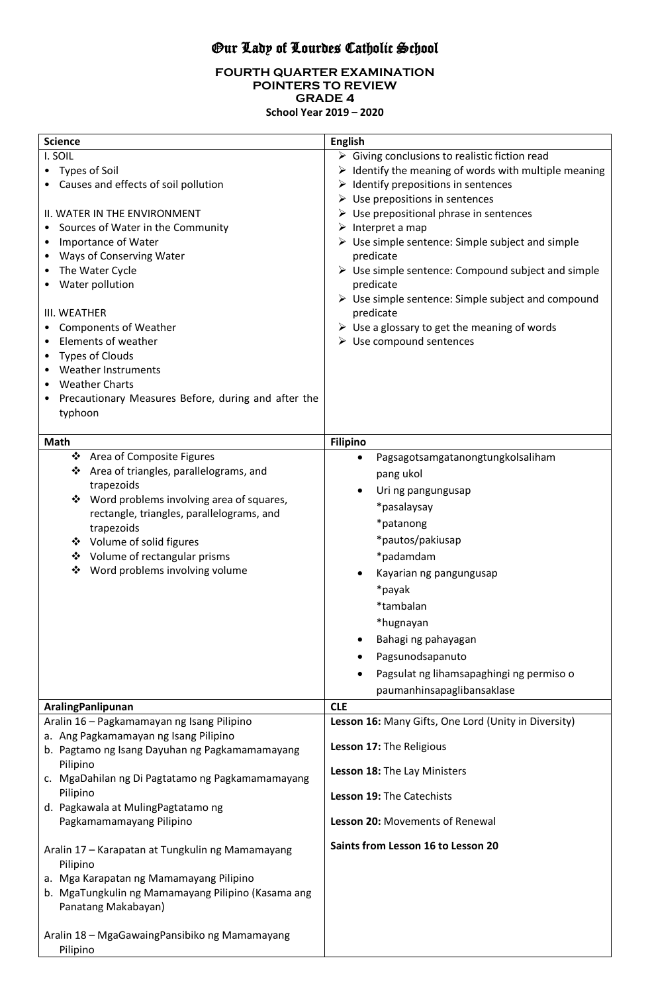# Our Lady of Lourdes Catholic School

#### **FOURTH QUARTER EXAMINATION POINTERS TO REVIEW GRADE 4 School Year 2019 – 2020**

| <b>Science</b>                                                                                                                                                                                                                                                                                                                                                                                                                                                              | <b>English</b>                                                                                                                                                                                                                                                                                                                                                                                                                                                                                                                                                                                                                                                                                             |
|-----------------------------------------------------------------------------------------------------------------------------------------------------------------------------------------------------------------------------------------------------------------------------------------------------------------------------------------------------------------------------------------------------------------------------------------------------------------------------|------------------------------------------------------------------------------------------------------------------------------------------------------------------------------------------------------------------------------------------------------------------------------------------------------------------------------------------------------------------------------------------------------------------------------------------------------------------------------------------------------------------------------------------------------------------------------------------------------------------------------------------------------------------------------------------------------------|
| I. SOIL<br>• Types of Soil<br>Causes and effects of soil pollution<br>II. WATER IN THE ENVIRONMENT<br>Sources of Water in the Community<br>Importance of Water<br>Ways of Conserving Water<br>The Water Cycle<br>Water pollution<br>III. WEATHER<br><b>Components of Weather</b><br>Elements of weather<br>٠<br><b>Types of Clouds</b><br><b>Weather Instruments</b><br><b>Weather Charts</b><br>Precautionary Measures Before, during and after the<br>typhoon             | $\triangleright$ Giving conclusions to realistic fiction read<br>$\triangleright$ Identify the meaning of words with multiple meaning<br>$\triangleright$ Identify prepositions in sentences<br>$\triangleright$ Use prepositions in sentences<br>$\triangleright$ Use prepositional phrase in sentences<br>$\triangleright$ Interpret a map<br>$\triangleright$ Use simple sentence: Simple subject and simple<br>predicate<br>$\triangleright$ Use simple sentence: Compound subject and simple<br>predicate<br>$\triangleright$ Use simple sentence: Simple subject and compound<br>predicate<br>$\triangleright$ Use a glossary to get the meaning of words<br>$\triangleright$ Use compound sentences |
| Math                                                                                                                                                                                                                                                                                                                                                                                                                                                                        | <b>Filipino</b>                                                                                                                                                                                                                                                                                                                                                                                                                                                                                                                                                                                                                                                                                            |
| ❖ Area of Composite Figures<br>❖ Area of triangles, parallelograms, and<br>trapezoids<br>Word problems involving area of squares,<br>❖<br>rectangle, triangles, parallelograms, and<br>trapezoids<br>❖ Volume of solid figures<br>❖ Volume of rectangular prisms<br>Word problems involving volume<br>❖                                                                                                                                                                     | Pagsagotsamgatanongtungkolsaliham<br>$\bullet$<br>pang ukol<br>Uri ng pangungusap<br>*pasalaysay<br>*patanong<br>*pautos/pakiusap<br>*padamdam<br>Kayarian ng pangungusap<br>*payak<br>*tambalan<br>*hugnayan<br>Bahagi ng pahayagan<br>Pagsunodsapanuto<br>Pagsulat ng lihamsapaghingi ng permiso o<br>paumanhinsapaglibansaklase                                                                                                                                                                                                                                                                                                                                                                         |
| <b>AralingPanlipunan</b>                                                                                                                                                                                                                                                                                                                                                                                                                                                    | <b>CLE</b>                                                                                                                                                                                                                                                                                                                                                                                                                                                                                                                                                                                                                                                                                                 |
| Aralin 16 - Pagkamamayan ng Isang Pilipino<br>a. Ang Pagkamamayan ng Isang Pilipino<br>b. Pagtamo ng Isang Dayuhan ng Pagkamamamayang<br>Pilipino<br>c. MgaDahilan ng Di Pagtatamo ng Pagkamamamayang<br>Pilipino<br>d. Pagkawala at MulingPagtatamo ng<br>Pagkamamamayang Pilipino<br>Aralin 17 - Karapatan at Tungkulin ng Mamamayang<br>Pilipino<br>a. Mga Karapatan ng Mamamayang Pilipino<br>b. MgaTungkulin ng Mamamayang Pilipino (Kasama ang<br>Panatang Makabayan) | Lesson 16: Many Gifts, One Lord (Unity in Diversity)<br>Lesson 17: The Religious<br>Lesson 18: The Lay Ministers<br>Lesson 19: The Catechists<br>Lesson 20: Movements of Renewal<br>Saints from Lesson 16 to Lesson 20                                                                                                                                                                                                                                                                                                                                                                                                                                                                                     |
| Aralin 18 - MgaGawaingPansibiko ng Mamamayang<br>Pilipino                                                                                                                                                                                                                                                                                                                                                                                                                   |                                                                                                                                                                                                                                                                                                                                                                                                                                                                                                                                                                                                                                                                                                            |